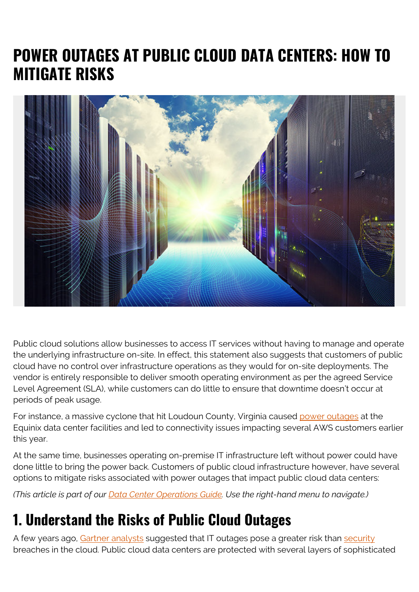# **POWER OUTAGES AT PUBLIC CLOUD DATA CENTERS: HOW TO MITIGATE RISKS**



Public cloud solutions allow businesses to access IT services without having to manage and operate the underlying infrastructure on-site. In effect, this statement also suggests that customers of public cloud have no control over infrastructure operations as they would for on-site deployments. The vendor is entirely responsible to deliver smooth operating environment as per the agreed Service Level Agreement (SLA), while customers can do little to ensure that downtime doesn't occur at periods of peak usage.

For instance, a massive cyclone that hit Loudoun County, Virginia caused [power outages](http://www.datacenterknowledge.com/uptime/equinix-power-outage-one-reason-behind-aws-cloud-disruption) at the Equinix data center facilities and led to connectivity issues impacting several AWS customers earlier this year.

At the same time, businesses operating on-premise IT infrastructure left without power could have done little to bring the power back. Customers of public cloud infrastructure however, have several options to mitigate risks associated with power outages that impact public cloud data centers:

*(This article is part of our [Data Center Operations Guide](https://blogs.bmc.com/blogs/data-center-operations/). Use the right-hand menu to navigate.)*

### **1. Understand the Risks of Public Cloud Outages**

A few years ago, [Gartner analysts](https://www.networkworld.com/article/2161441/cloud-computing/gartner-s-state-of-cloud-security--outages-are-bigger-risk-than-breaches.html) suggested that IT outages pose a greater risk than [security](https://blogs.bmc.com/blogs/security-vulnerability-vs-threat-vs-risk-whats-difference/) breaches in the cloud. Public cloud data centers are protected with several layers of sophisticated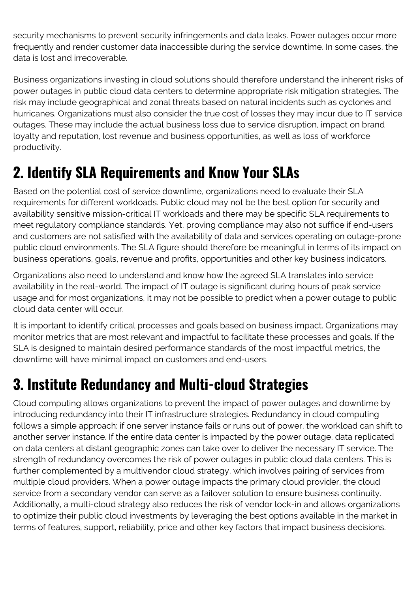security mechanisms to prevent security infringements and data leaks. Power outages occur more frequently and render customer data inaccessible during the service downtime. In some cases, the data is lost and irrecoverable.

Business organizations investing in cloud solutions should therefore understand the inherent risks of power outages in public cloud data centers to determine appropriate risk mitigation strategies. The risk may include geographical and zonal threats based on natural incidents such as cyclones and hurricanes. Organizations must also consider the true cost of losses they may incur due to IT service outages. These may include the actual business loss due to service disruption, impact on brand loyalty and reputation, lost revenue and business opportunities, as well as loss of workforce productivity.

## **2. Identify SLA Requirements and Know Your SLAs**

Based on the potential cost of service downtime, organizations need to evaluate their SLA requirements for different workloads. Public cloud may not be the best option for security and availability sensitive mission-critical IT workloads and there may be specific SLA requirements to meet regulatory compliance standards. Yet, proving compliance may also not suffice if end-users and customers are not satisfied with the availability of data and services operating on outage-prone public cloud environments. The SLA figure should therefore be meaningful in terms of its impact on business operations, goals, revenue and profits, opportunities and other key business indicators.

Organizations also need to understand and know how the agreed SLA translates into service availability in the real-world. The impact of IT outage is significant during hours of peak service usage and for most organizations, it may not be possible to predict when a power outage to public cloud data center will occur.

It is important to identify critical processes and goals based on business impact. Organizations may monitor metrics that are most relevant and impactful to facilitate these processes and goals. If the SLA is designed to maintain desired performance standards of the most impactful metrics, the downtime will have minimal impact on customers and end-users.

## **3. Institute Redundancy and Multi-cloud Strategies**

Cloud computing allows organizations to prevent the impact of power outages and downtime by introducing redundancy into their IT infrastructure strategies. Redundancy in cloud computing follows a simple approach: if one server instance fails or runs out of power, the workload can shift to another server instance. If the entire data center is impacted by the power outage, data replicated on data centers at distant geographic zones can take over to deliver the necessary IT service. The strength of redundancy overcomes the risk of power outages in public cloud data centers. This is further complemented by a multivendor cloud strategy, which involves pairing of services from multiple cloud providers. When a power outage impacts the primary cloud provider, the cloud service from a secondary vendor can serve as a failover solution to ensure business continuity. Additionally, a multi-cloud strategy also reduces the risk of vendor lock-in and allows organizations to optimize their public cloud investments by leveraging the best options available in the market in terms of features, support, reliability, price and other key factors that impact business decisions.